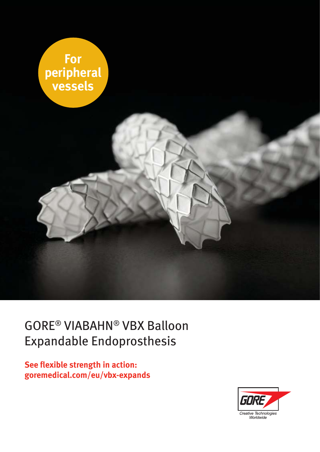

### GORE® VIABAHN® VBX Balloon Expandable Endoprosthesis

**See flexible strength in action: goremedical.com/eu/vbx-expands**

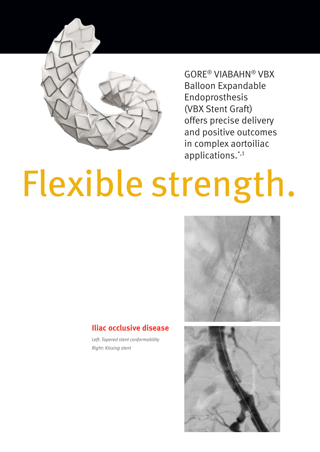

GORE® VIABAHN® VBX Balloon Expandable Endoprosthesis (VBX Stent Graft) offers precise delivery and positive outcomes in complex aortoiliac applications.\*,1

# Flexible strength.



#### **Iliac occlusive disease**

*Left: Tapered stent conformability Right: Kissing stent*

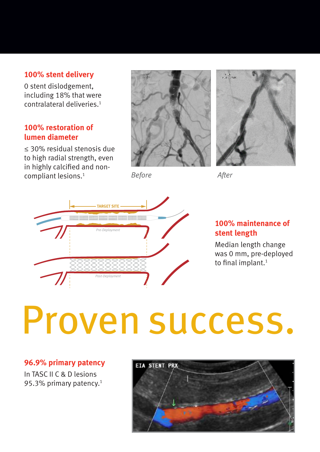#### **100% stent delivery**

0 stent dislodgement, including 18% that were contralateral deliveries.<sup>1</sup>

#### **100% restoration of lumen diameter**

≤ 30% residual stenosis due to high radial strength, even in highly calcified and noncompliant lesions.<sup>1</sup>



*Before After*





#### **100% maintenance of stent length**

Median length change was 0 mm, pre-deployed to final implant.<sup>1</sup>

## Proven success.

#### **96.9% primary patency**

In TASC II C & D lesions 95.3% primary patency.<sup>1</sup>